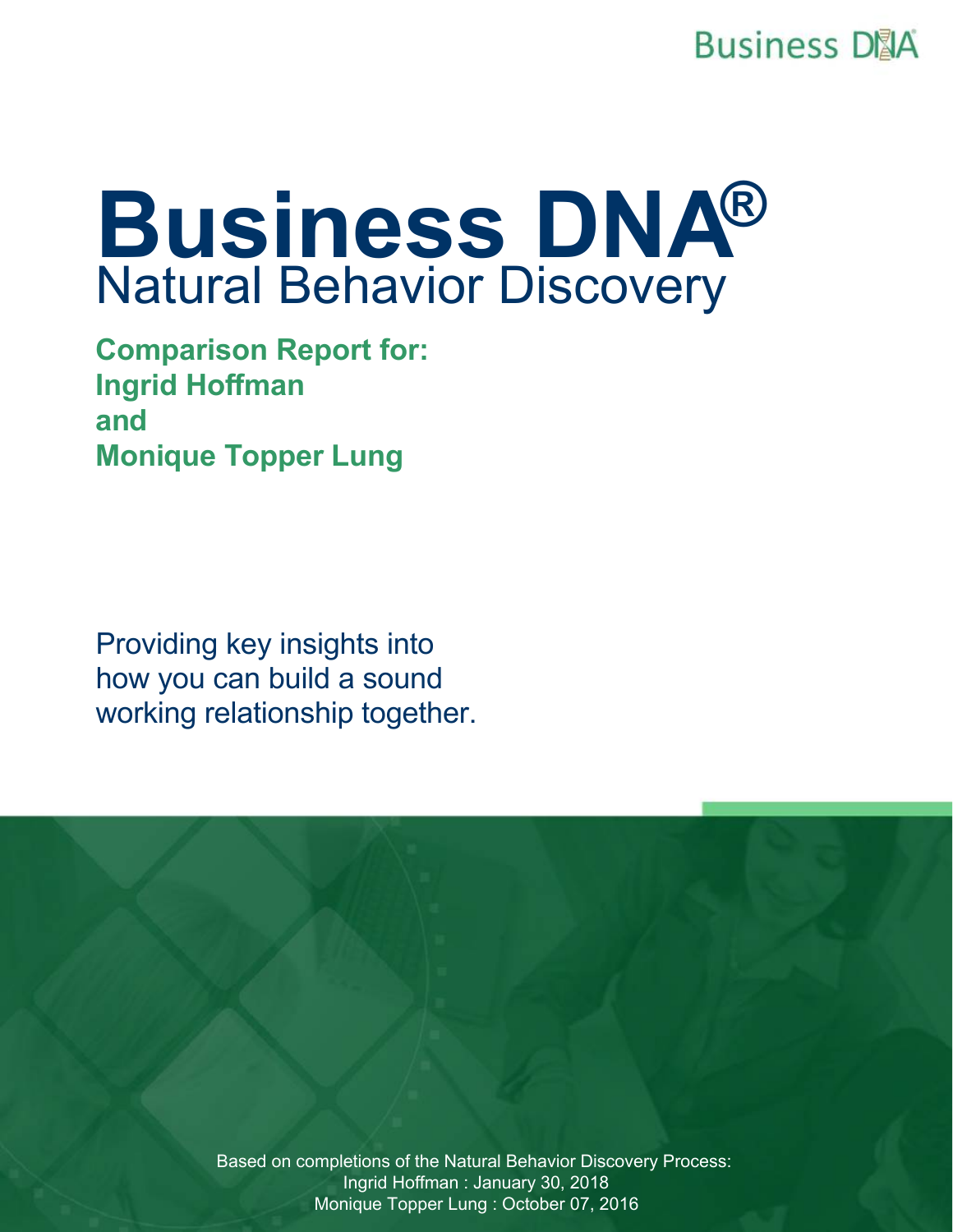**Business D</u>IA** 

# **Business DNA®** Natural Behavior Discovery

**Comparison Report for: Ingrid Hoffman and Monique Topper Lung**

Providing key insights into how you can build a sound working relationship together.

> Based on completions of the Natural Behavior Discovery Process: Ingrid Hoffman : January 30, 2018 Monique Topper Lung : October 07, 2016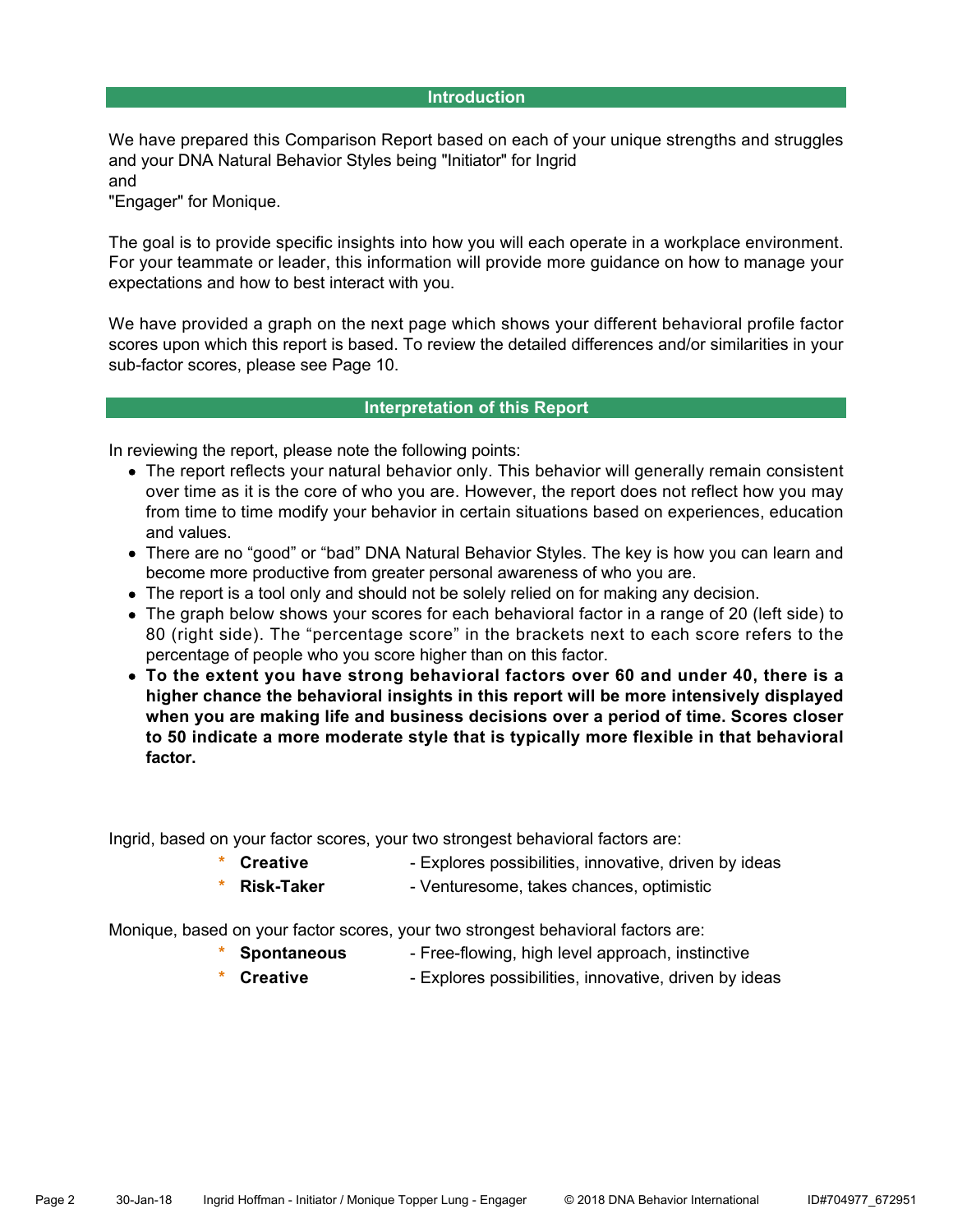#### **Introduction**

We have prepared this Comparison Report based on each of your unique strengths and struggles and your DNA Natural Behavior Styles being "Initiator" for Ingrid and

"Engager" for Monique.

The goal is to provide specific insights into how you will each operate in a workplace environment. For your teammate or leader, this information will provide more guidance on how to manage your expectations and how to best interact with you.

We have provided a graph on the next page which shows your different behavioral profile factor scores upon which this report is based. To review the detailed differences and/or similarities in your sub-factor scores, please see Page 10.

#### **Interpretation of this Report**

In reviewing the report, please note the following points:

- The report reflects your natural behavior only. This behavior will generally remain consistent over time as it is the core of who you are. However, the report does not reflect how you may from time to time modify your behavior in certain situations based on experiences, education and values.
- There are no "good" or "bad" DNA Natural Behavior Styles. The key is how you can learn and become more productive from greater personal awareness of who you are.
- The report is a tool only and should not be solely relied on for making any decision.
- The graph below shows your scores for each behavioral factor in a range of 20 (left side) to 80 (right side). The "percentage score" in the brackets next to each score refers to the percentage of people who you score higher than on this factor.
- **To the extent you have strong behavioral factors over 60 and under 40, there is a higher chance the behavioral insights in this report will be more intensively displayed when you are making life and business decisions over a period of time. Scores closer to 50 indicate a more moderate style that is typically more flexible in that behavioral factor.**

Ingrid, based on your factor scores, your two strongest behavioral factors are:

- **Creative** Explores possibilities, innovative, driven by ideas
- **Risk-Taker** Venturesome, takes chances, optimistic

Monique, based on your factor scores, your two strongest behavioral factors are:

- **Spontaneous** Free-flowing, high level approach, instinctive
- **\* Creative** Explores possibilities, innovative, driven by ideas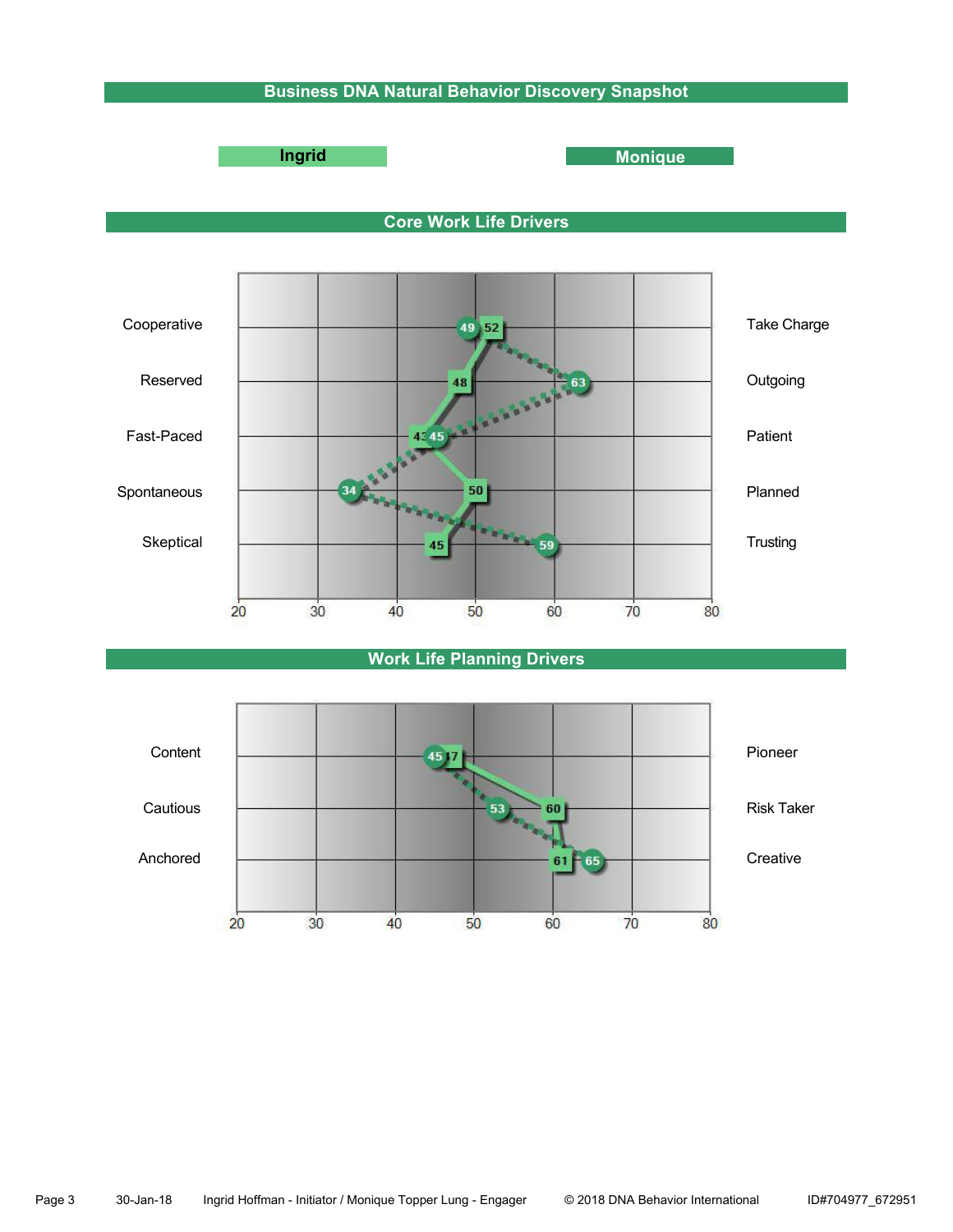# **Business DNA Natural Behavior Discovery Snapshot**



**Ingrid Monique** 





# **Work Life Planning Drivers**

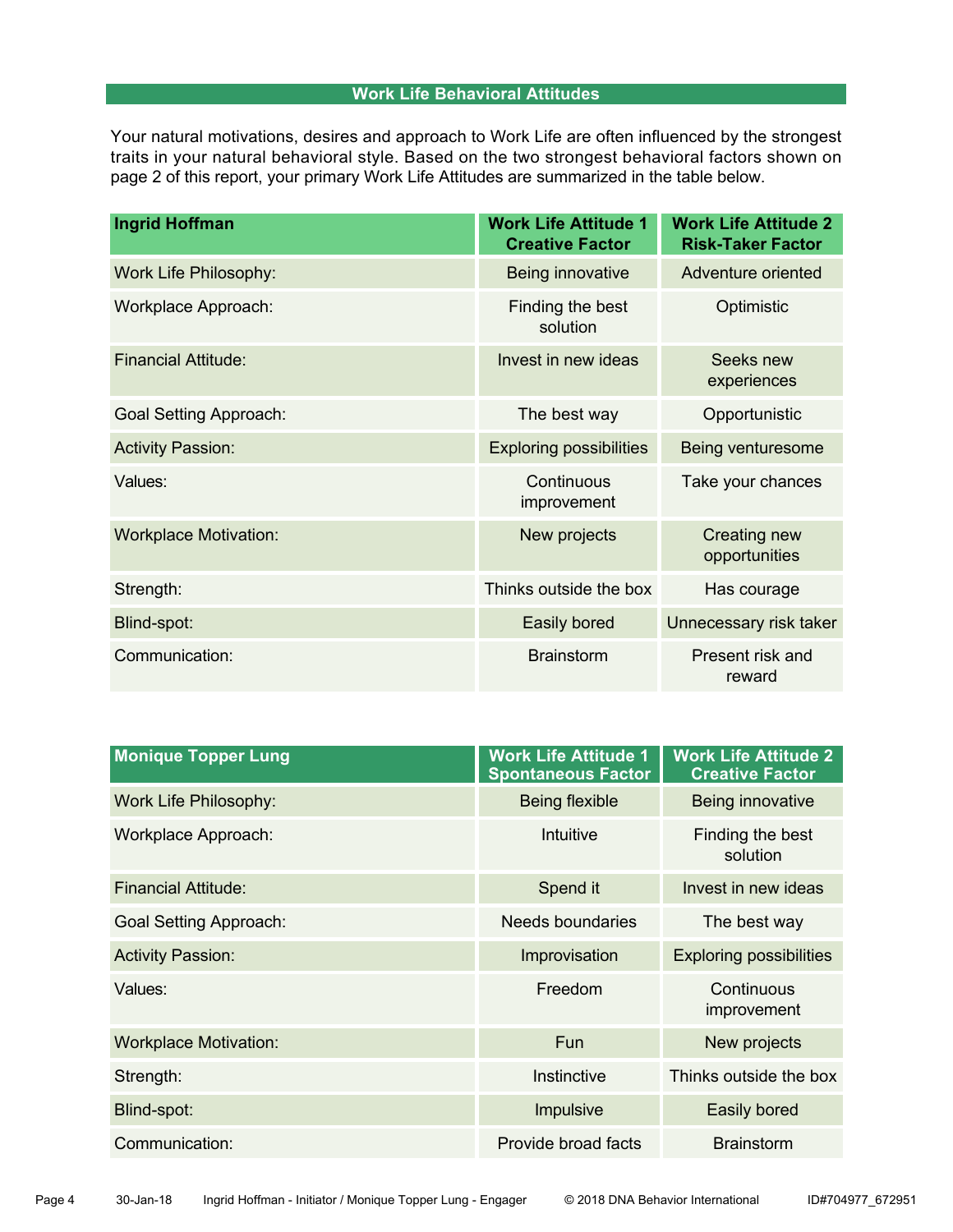# **Work Life Behavioral Attitudes**

Your natural motivations, desires and approach to Work Life are often influenced by the strongest traits in your natural behavioral style. Based on the two strongest behavioral factors shown on page 2 of this report, your primary Work Life Attitudes are summarized in the table below.

| <b>Ingrid Hoffman</b>         | <b>Work Life Attitude 1</b><br><b>Creative Factor</b> | <b>Work Life Attitude 2</b><br><b>Risk-Taker Factor</b> |  |
|-------------------------------|-------------------------------------------------------|---------------------------------------------------------|--|
| <b>Work Life Philosophy:</b>  | Being innovative                                      | Adventure oriented                                      |  |
| Workplace Approach:           | Finding the best<br>solution                          | Optimistic                                              |  |
| <b>Financial Attitude:</b>    | Invest in new ideas                                   | Seeks new<br>experiences                                |  |
| <b>Goal Setting Approach:</b> | The best way                                          | Opportunistic                                           |  |
| <b>Activity Passion:</b>      | <b>Exploring possibilities</b>                        | Being venturesome                                       |  |
| Values:                       | Continuous<br>improvement                             | Take your chances                                       |  |
| <b>Workplace Motivation:</b>  | New projects                                          | Creating new<br>opportunities                           |  |
| Strength:                     | Thinks outside the box                                | Has courage                                             |  |
| Blind-spot:                   | Easily bored                                          | Unnecessary risk taker                                  |  |
| Communication:                | <b>Brainstorm</b>                                     | Present risk and<br>reward                              |  |

| <b>Spontaneous Factor</b> | <b>Work Life Attitude 2</b><br><b>Creative Factor</b> |  |
|---------------------------|-------------------------------------------------------|--|
| <b>Being flexible</b>     | Being innovative                                      |  |
| Intuitive                 | Finding the best<br>solution                          |  |
| Spend it                  | Invest in new ideas                                   |  |
| <b>Needs boundaries</b>   | The best way                                          |  |
| Improvisation             | <b>Exploring possibilities</b>                        |  |
| Freedom                   | Continuous<br>improvement                             |  |
| <b>Fun</b>                | New projects                                          |  |
| Instinctive               | Thinks outside the box                                |  |
| Impulsive                 | Easily bored                                          |  |
| Provide broad facts       | <b>Brainstorm</b>                                     |  |
|                           | <b>Work Life Attitude 1</b>                           |  |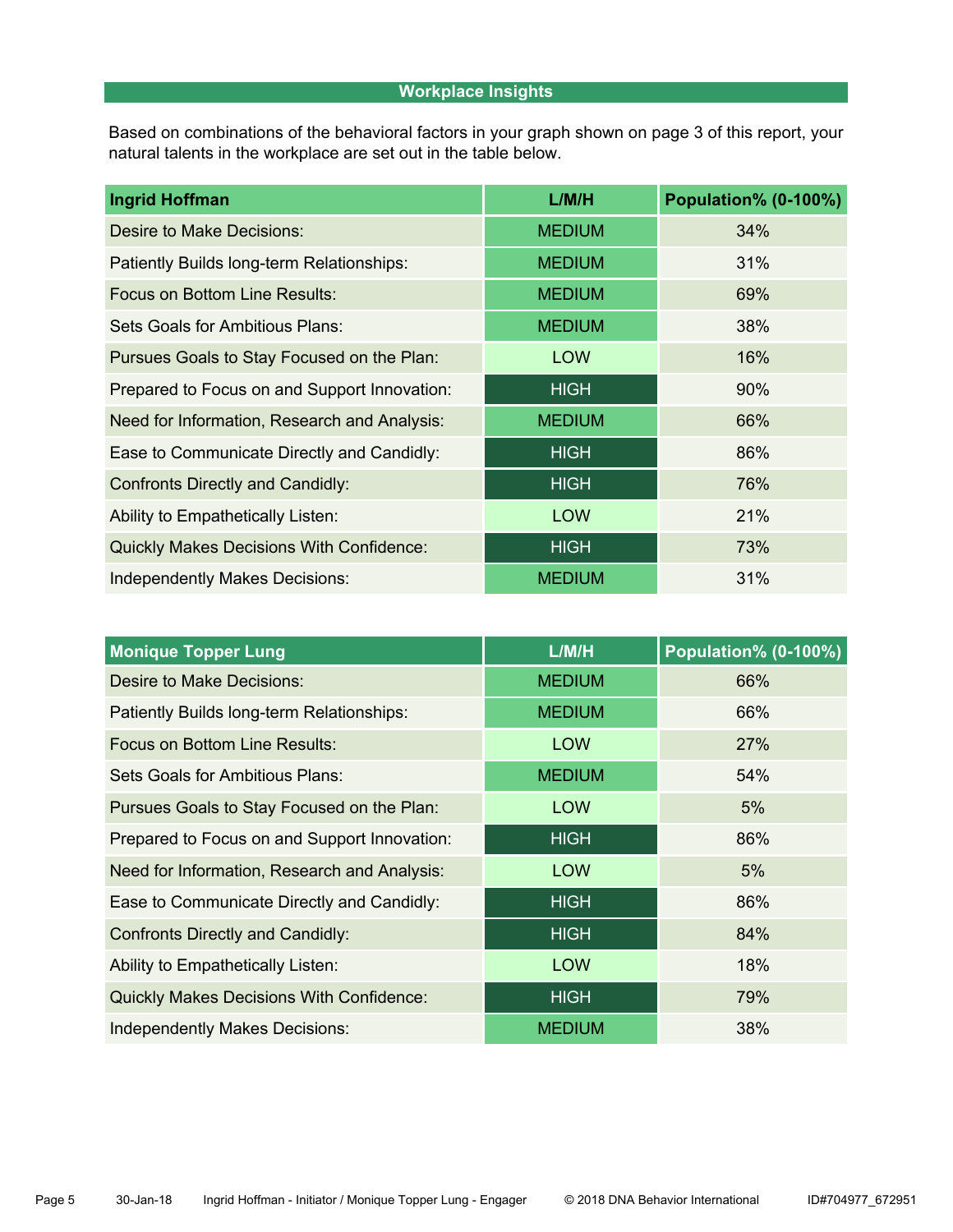# **Workplace Insights**

Based on combinations of the behavioral factors in your graph shown on page 3 of this report, your natural talents in the workplace are set out in the table below.

| <b>Ingrid Hoffman</b>                           | L/M/H         | <b>Population% (0-100%)</b> |  |  |
|-------------------------------------------------|---------------|-----------------------------|--|--|
| Desire to Make Decisions:                       | <b>MEDIUM</b> | 34%                         |  |  |
| Patiently Builds long-term Relationships:       | <b>MEDIUM</b> | 31%                         |  |  |
| <b>Focus on Bottom Line Results:</b>            | <b>MEDIUM</b> | 69%                         |  |  |
| Sets Goals for Ambitious Plans:                 | <b>MEDIUM</b> | 38%                         |  |  |
| Pursues Goals to Stay Focused on the Plan:      | <b>LOW</b>    | 16%                         |  |  |
| Prepared to Focus on and Support Innovation:    | <b>HIGH</b>   | 90%                         |  |  |
| Need for Information, Research and Analysis:    | <b>MEDIUM</b> | 66%                         |  |  |
| Ease to Communicate Directly and Candidly:      | <b>HIGH</b>   | 86%                         |  |  |
| <b>Confronts Directly and Candidly:</b>         | <b>HIGH</b>   | 76%                         |  |  |
| Ability to Empathetically Listen:               | <b>LOW</b>    | 21%                         |  |  |
| <b>Quickly Makes Decisions With Confidence:</b> | <b>HIGH</b>   | 73%                         |  |  |
| Independently Makes Decisions:                  | <b>MEDIUM</b> | 31%                         |  |  |

| <b>Monique Topper Lung</b>                                 | L/M/H         | Population% (0-100%) |  |  |
|------------------------------------------------------------|---------------|----------------------|--|--|
| Desire to Make Decisions:                                  | <b>MEDIUM</b> | 66%                  |  |  |
| Patiently Builds long-term Relationships:                  | <b>MEDIUM</b> | 66%                  |  |  |
| Focus on Bottom Line Results:                              | <b>LOW</b>    | 27%                  |  |  |
| Sets Goals for Ambitious Plans:                            | <b>MEDIUM</b> | 54%                  |  |  |
| Pursues Goals to Stay Focused on the Plan:                 | <b>LOW</b>    | 5%                   |  |  |
| Prepared to Focus on and Support Innovation:               | <b>HIGH</b>   | 86%                  |  |  |
| Need for Information, Research and Analysis:<br><b>LOW</b> |               | 5%                   |  |  |
| Ease to Communicate Directly and Candidly:                 | <b>HIGH</b>   | 86%                  |  |  |
| <b>Confronts Directly and Candidly:</b>                    | <b>HIGH</b>   | 84%                  |  |  |
| Ability to Empathetically Listen:                          | <b>LOW</b>    | 18%                  |  |  |
| <b>Quickly Makes Decisions With Confidence:</b>            | <b>HIGH</b>   | 79%                  |  |  |
| <b>Independently Makes Decisions:</b>                      | <b>MEDIUM</b> | 38%                  |  |  |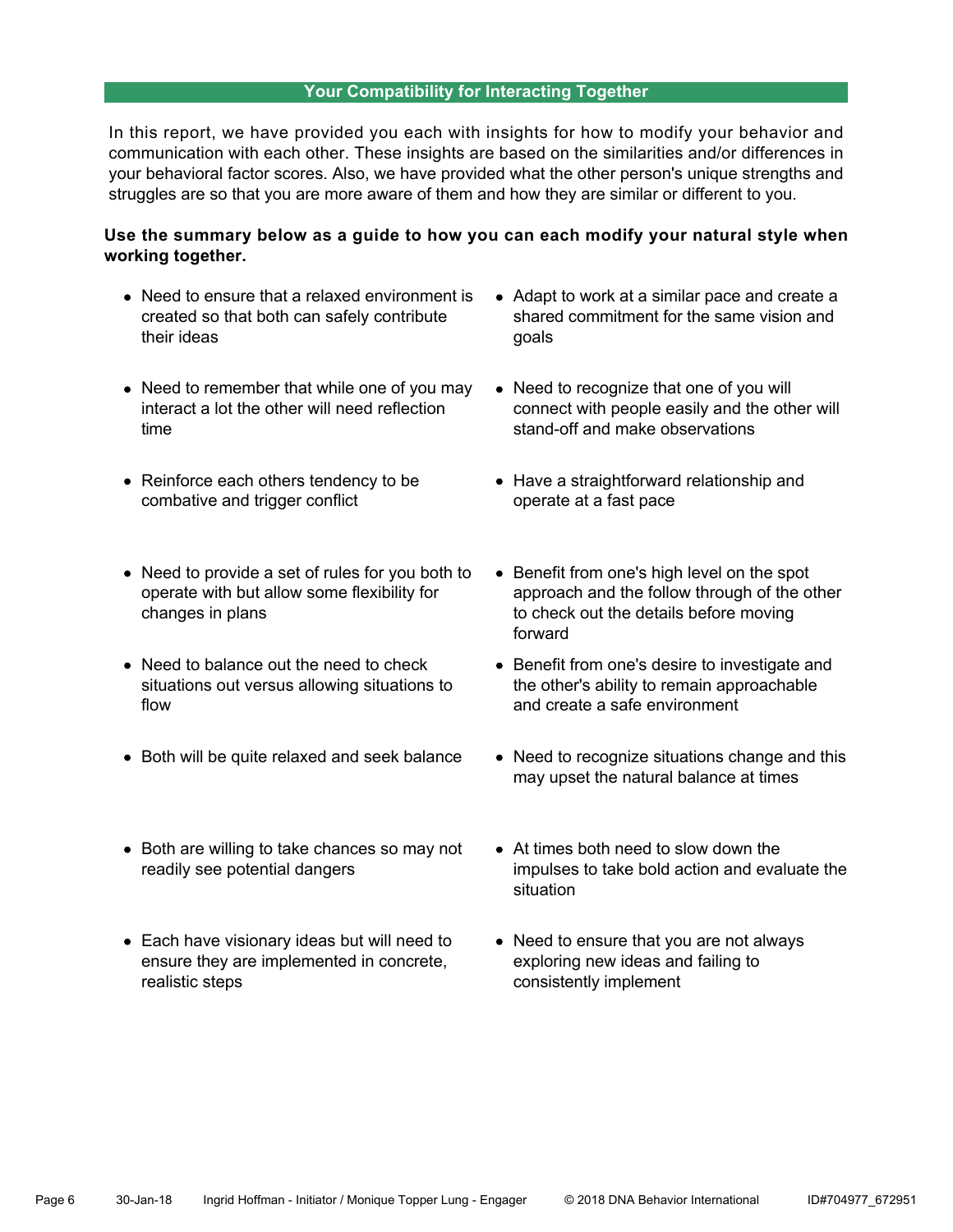#### **Your Compatibility for Interacting Together**

In this report, we have provided you each with insights for how to modify your behavior and communication with each other. These insights are based on the similarities and/or differences in your behavioral factor scores. Also, we have provided what the other person's unique strengths and struggles are so that you are more aware of them and how they are similar or different to you.

# **Use the summary below as a guide to how you can each modify your natural style when working together.**

- Need to ensure that a relaxed environment is created so that both can safely contribute their ideas
- Need to remember that while one of you may interact a lot the other will need reflection time
- Reinforce each others tendency to be combative and trigger conflict
- Need to provide a set of rules for you both to operate with but allow some flexibility for changes in plans
- Need to balance out the need to check situations out versus allowing situations to flow
- Both will be quite relaxed and seek balance
- Both are willing to take chances so may not readily see potential dangers
- Each have visionary ideas but will need to ensure they are implemented in concrete, realistic steps
- Adapt to work at a similar pace and create a shared commitment for the same vision and goals
- Need to recognize that one of you will connect with people easily and the other will stand-off and make observations
- Have a straightforward relationship and operate at a fast pace
- Benefit from one's high level on the spot approach and the follow through of the other to check out the details before moving forward
- Benefit from one's desire to investigate and the other's ability to remain approachable and create a safe environment
- Need to recognize situations change and this may upset the natural balance at times
- At times both need to slow down the impulses to take bold action and evaluate the situation
- Need to ensure that you are not always exploring new ideas and failing to consistently implement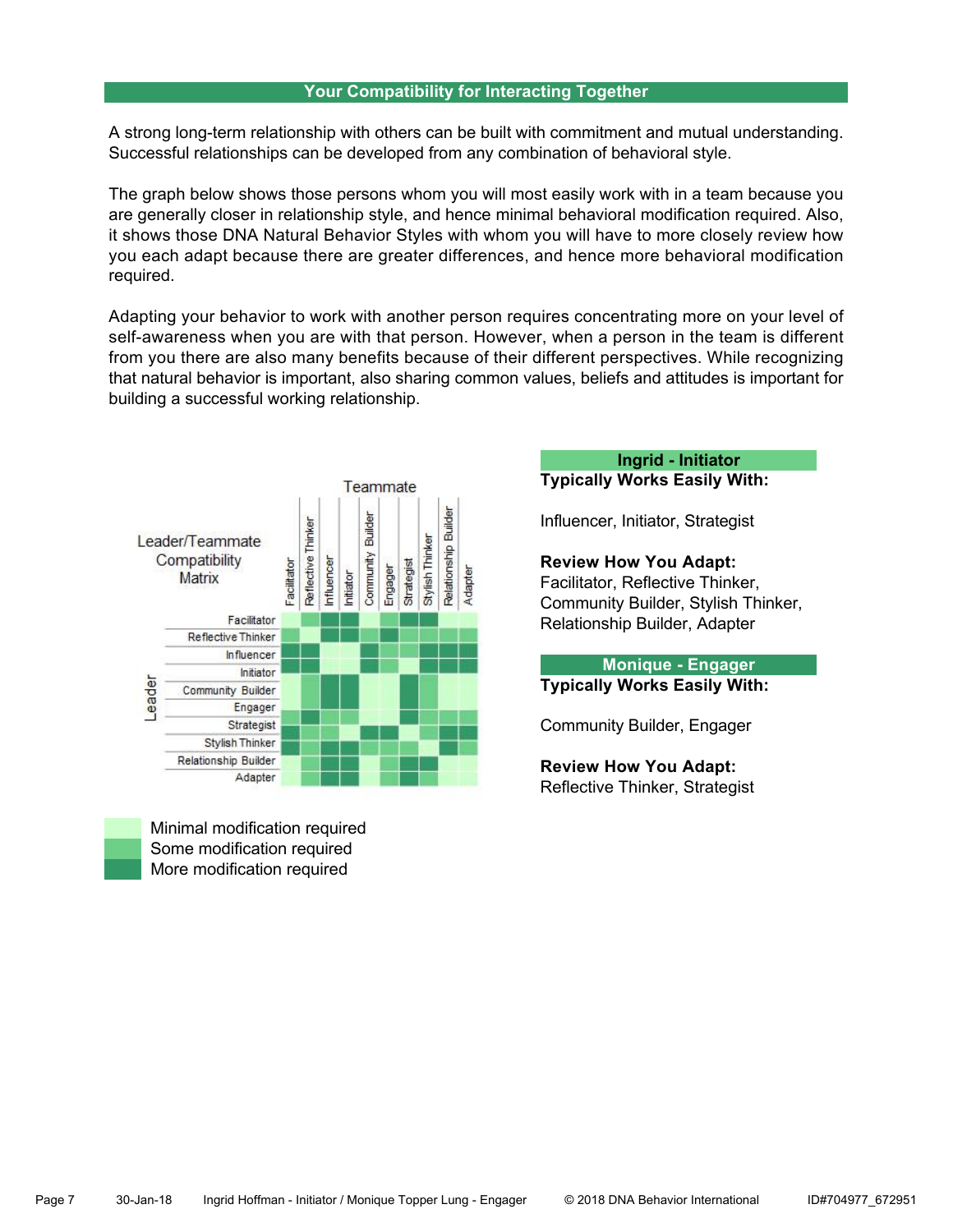#### **Your Compatibility for Interacting Together**

A strong long-term relationship with others can be built with commitment and mutual understanding. Successful relationships can be developed from any combination of behavioral style.

The graph below shows those persons whom you will most easily work with in a team because you are generally closer in relationship style, and hence minimal behavioral modification required. Also, it shows those DNA Natural Behavior Styles with whom you will have to more closely review how you each adapt because there are greater differences, and hence more behavioral modification required.

Adapting your behavior to work with another person requires concentrating more on your level of self-awareness when you are with that person. However, when a person in the team is different from you there are also many benefits because of their different perspectives. While recognizing that natural behavior is important, also sharing common values, beliefs and attitudes is important for building a successful working relationship.



 Minimal modification required Some modification required More modification required

**Ingrid - Initiator**

**Typically Works Easily With:**

Influencer, Initiator, Strategist

#### **Review How You Adapt:**

Facilitator, Reflective Thinker, Community Builder, Stylish Thinker, Relationship Builder, Adapter

**Monique - Engager Typically Works Easily With:**

Community Builder, Engager

**Review How You Adapt:** Reflective Thinker, Strategist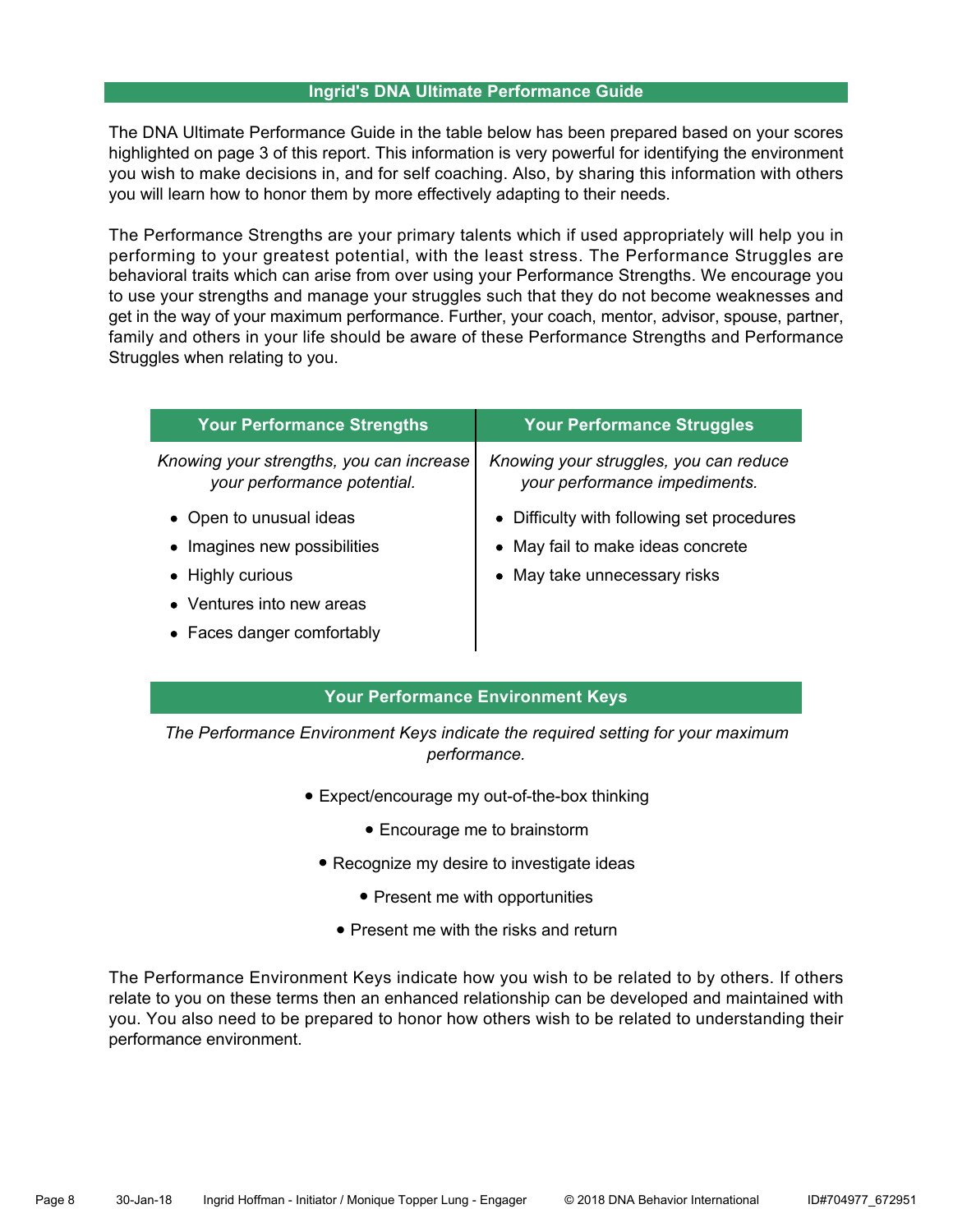#### **Ingrid's DNA Ultimate Performance Guide**

The DNA Ultimate Performance Guide in the table below has been prepared based on your scores highlighted on page 3 of this report. This information is very powerful for identifying the environment you wish to make decisions in, and for self coaching. Also, by sharing this information with others you will learn how to honor them by more effectively adapting to their needs.

The Performance Strengths are your primary talents which if used appropriately will help you in performing to your greatest potential, with the least stress. The Performance Struggles are behavioral traits which can arise from over using your Performance Strengths. We encourage you to use your strengths and manage your struggles such that they do not become weaknesses and get in the way of your maximum performance. Further, your coach, mentor, advisor, spouse, partner, family and others in your life should be aware of these Performance Strengths and Performance Struggles when relating to you.

| <b>Your Performance Strengths</b><br><b>Your Performance Struggles</b>  |                                                                         |
|-------------------------------------------------------------------------|-------------------------------------------------------------------------|
| Knowing your strengths, you can increase<br>your performance potential. | Knowing your struggles, you can reduce<br>your performance impediments. |
| • Open to unusual ideas                                                 | • Difficulty with following set procedures                              |
| • Imagines new possibilities                                            | • May fail to make ideas concrete                                       |
| • Highly curious                                                        | • May take unnecessary risks                                            |
| • Ventures into new areas                                               |                                                                         |
| • Faces danger comfortably                                              |                                                                         |

# **Your Performance Environment Keys**

*The Performance Environment Keys indicate the required setting for your maximum performance.*

- Expect/encourage my out-of-the-box thinking
	- Encourage me to brainstorm
	- Recognize my desire to investigate ideas
		- Present me with opportunities
		- Present me with the risks and return

The Performance Environment Keys indicate how you wish to be related to by others. If others relate to you on these terms then an enhanced relationship can be developed and maintained with you. You also need to be prepared to honor how others wish to be related to understanding their performance environment.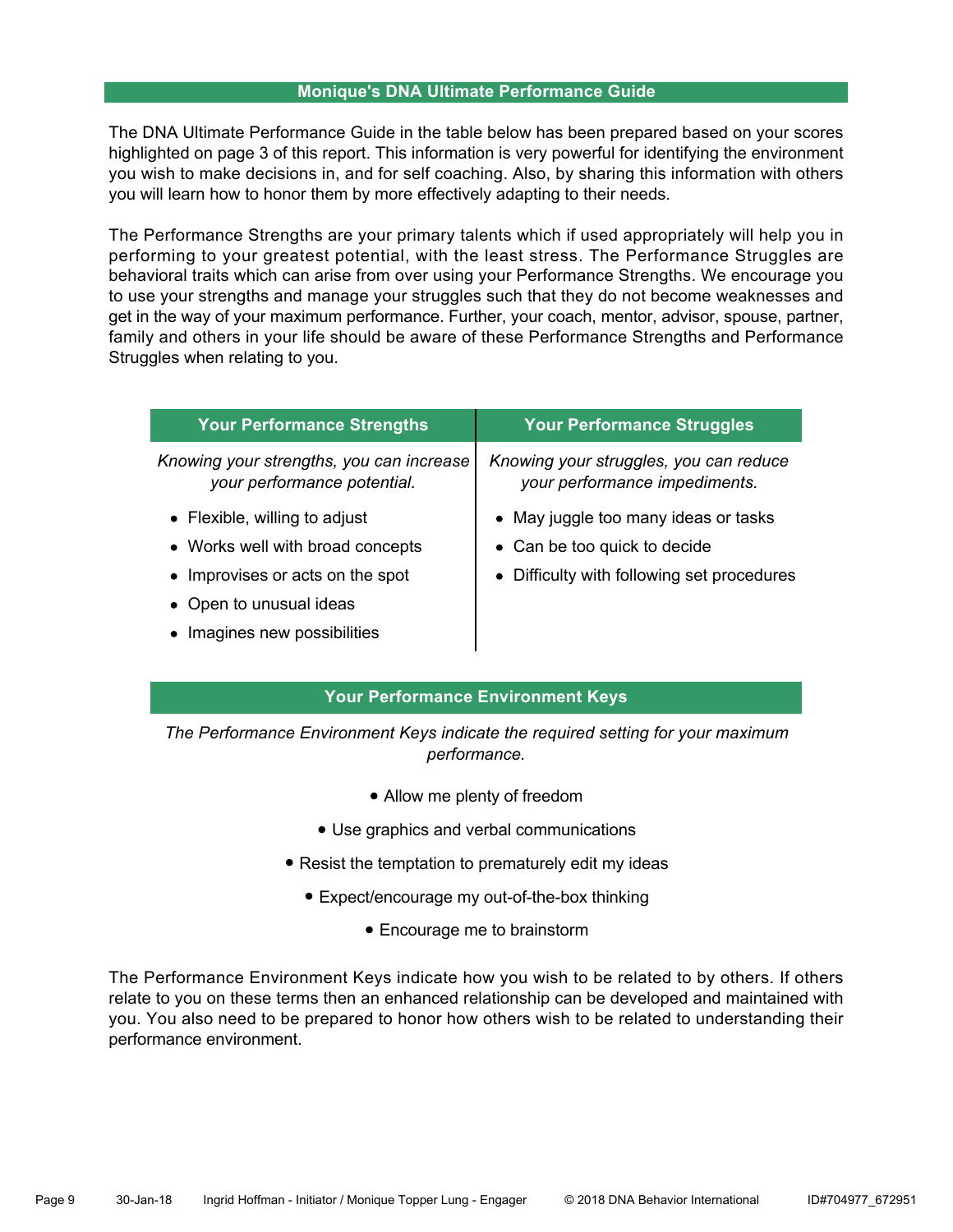#### **Monique's DNA Ultimate Performance Guide**

The DNA Ultimate Performance Guide in the table below has been prepared based on your scores highlighted on page 3 of this report. This information is very powerful for identifying the environment you wish to make decisions in, and for self coaching. Also, by sharing this information with others you will learn how to honor them by more effectively adapting to their needs.

The Performance Strengths are your primary talents which if used appropriately will help you in performing to your greatest potential, with the least stress. The Performance Struggles are behavioral traits which can arise from over using your Performance Strengths. We encourage you to use your strengths and manage your struggles such that they do not become weaknesses and get in the way of your maximum performance. Further, your coach, mentor, advisor, spouse, partner, family and others in your life should be aware of these Performance Strengths and Performance Struggles when relating to you.

| <b>Your Performance Strengths</b>                                       | <b>Your Performance Struggles</b>                                       |
|-------------------------------------------------------------------------|-------------------------------------------------------------------------|
| Knowing your strengths, you can increase<br>your performance potential. | Knowing your struggles, you can reduce<br>your performance impediments. |
| • Flexible, willing to adjust                                           | • May juggle too many ideas or tasks                                    |
| • Works well with broad concepts                                        | • Can be too quick to decide                                            |
| • Improvises or acts on the spot                                        | • Difficulty with following set procedures                              |
| • Open to unusual ideas                                                 |                                                                         |
| • Imagines new possibilities                                            |                                                                         |

# **Your Performance Environment Keys**

*The Performance Environment Keys indicate the required setting for your maximum performance.*

- Allow me plenty of freedom
- Use graphics and verbal communications
- Resist the temptation to prematurely edit my ideas
	- Expect/encourage my out-of-the-box thinking
		- Encourage me to brainstorm

The Performance Environment Keys indicate how you wish to be related to by others. If others relate to you on these terms then an enhanced relationship can be developed and maintained with you. You also need to be prepared to honor how others wish to be related to understanding their performance environment.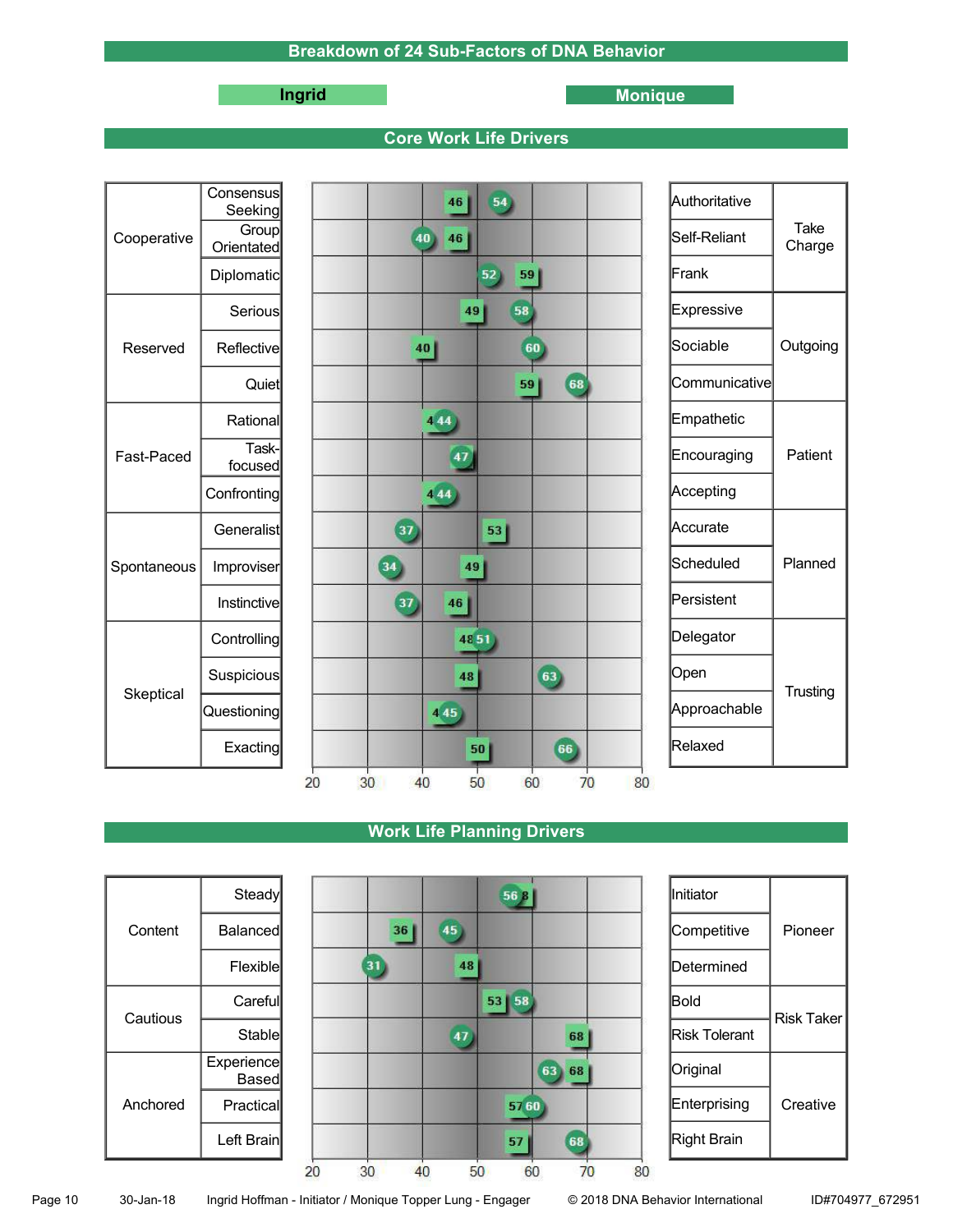# **Ingrid Monique**

### **Core Work Life Drivers**

|             | Consensus<br>Seeking       | 54<br>46                               | Authoritative |                |
|-------------|----------------------------|----------------------------------------|---------------|----------------|
| Cooperative | <b>Group</b><br>Orientated | 40<br>46                               | Self-Reliant  | Take<br>Charge |
|             | Diplomatic                 | 52<br>59                               | Frank         |                |
|             | Serious                    | 58<br>49                               | Expressive    |                |
| Reserved    | Reflective                 | 40<br>60                               | Sociable      | Outgoing       |
|             | Quiet                      | 68<br>59                               | Communicative |                |
|             | Rational                   | 444                                    | Empathetic    |                |
| Fast-Paced  | Task-<br>focused           | 47                                     | Encouraging   | Patient        |
|             | Confronting                | 444                                    | Accepting     |                |
| Spontaneous | Generalist                 | 37<br>53                               | Accurate      |                |
|             | Improviser                 | 34<br>49                               | Scheduled     | Planned        |
|             | <b>Instinctive</b>         | 37<br>46                               | Persistent    |                |
|             | Controlling                | 4851                                   | Delegator     |                |
| Skeptical   | Suspicious                 | 63<br>48                               | Open          | Trusting       |
|             | Questioning                | 445                                    | Approachable  |                |
|             | Exacting                   | 66<br>50                               | Relaxed       |                |
|             |                            | 30<br>20<br>40<br>60<br>70<br>80<br>50 |               |                |

# **Work Life Planning Drivers**